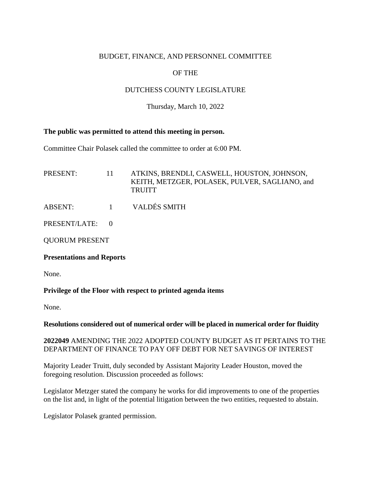### BUDGET, FINANCE, AND PERSONNEL COMMITTEE

# OF THE

# DUTCHESS COUNTY LEGISLATURE

Thursday, March 10, 2022

#### **The public was permitted to attend this meeting in person.**

Committee Chair Polasek called the committee to order at 6:00 PM.

PRESENT: 11 ATKINS, BRENDLI, CASWELL, HOUSTON, JOHNSON, KEITH, METZGER, POLASEK, PULVER, SAGLIANO, and **TRUITT** 

ABSENT: 1 VALDÉS SMITH

PRESENT/LATE: 0

QUORUM PRESENT

#### **Presentations and Reports**

None.

### **Privilege of the Floor with respect to printed agenda items**

None.

**Resolutions considered out of numerical order will be placed in numerical order for fluidity**

#### **2022049** AMENDING THE 2022 ADOPTED COUNTY BUDGET AS IT PERTAINS TO THE DEPARTMENT OF FINANCE TO PAY OFF DEBT FOR NET SAVINGS OF INTEREST

Majority Leader Truitt, duly seconded by Assistant Majority Leader Houston, moved the foregoing resolution. Discussion proceeded as follows:

Legislator Metzger stated the company he works for did improvements to one of the properties on the list and, in light of the potential litigation between the two entities, requested to abstain.

Legislator Polasek granted permission.